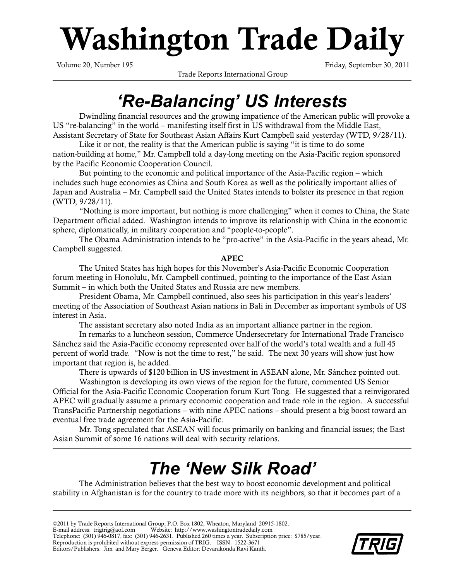# **Washington Trade Daily**

Trade Reports International Group

Volume 20, Number 195 Friday, September 30, 2011

## *'Re-Balancing' US Interests*

Dwindling financial resources and the growing impatience of the American public will provoke a US "re-balancing" in the world – manifesting itself first in US withdrawal from the Middle East, Assistant Secretary of State for Southeast Asian Affairs Kurt Campbell said yesterday (WTD, 9/28/11).

Like it or not, the reality is that the American public is saying "it is time to do some nation-building at home," Mr. Campbell told a day-long meeting on the Asia-Pacific region sponsored by the Pacific Economic Cooperation Council.

But pointing to the economic and political importance of the Asia-Pacific region – which includes such huge economies as China and South Korea as well as the politically important allies of Japan and Australia – Mr. Campbell said the United States intends to bolster its presence in that region (WTD, 9/28/11).

"Nothing is more important, but nothing is more challenging" when it comes to China, the State Department official added. Washington intends to improve its relationship with China in the economic sphere, diplomatically, in military cooperation and "people-to-people".

The Obama Administration intends to be "pro-active" in the Asia-Pacific in the years ahead, Mr. Campbell suggested.

**APEC**

The United States has high hopes for this November's Asia-Pacific Economic Cooperation forum meeting in Honolulu, Mr. Campbell continued, pointing to the importance of the East Asian Summit – in which both the United States and Russia are new members.

President Obama, Mr. Campbell continued, also sees his participation in this year's leaders' meeting of the Association of Southeast Asian nations in Bali in December as important symbols of US interest in Asia.

The assistant secretary also noted India as an important alliance partner in the region.

In remarks to a luncheon session, Commerce Undersecretary for International Trade Francisco Sánchez said the Asia-Pacific economy represented over half of the world's total wealth and a full 45 percent of world trade. "Now is not the time to rest," he said. The next 30 years will show just how important that region is, he added.

There is upwards of \$120 billion in US investment in ASEAN alone, Mr. Sánchez pointed out.

Washington is developing its own views of the region for the future, commented US Senior Official for the Asia-Pacific Economic Cooperation forum Kurt Tong. He suggested that a reinvigorated APEC will gradually assume a primary economic cooperation and trade role in the region. A successful TransPacific Partnership negotiations – with nine APEC nations – should present a big boost toward an eventual free trade agreement for the Asia-Pacific.

Mr. Tong speculated that ASEAN will focus primarily on banking and financial issues; the East Asian Summit of some 16 nations will deal with security relations.

## *The 'New Silk Road'*

The Administration believes that the best way to boost economic development and political stability in Afghanistan is for the country to trade more with its neighbors, so that it becomes part of a

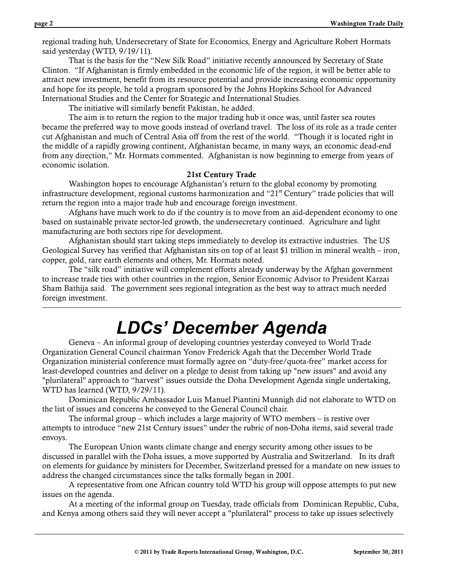regional trading hub, Undersecretary of State for Economics, Energy and Agriculture Robert Hormats said yesterday (WTD, 9/19/11).

That is the basis for the "New Silk Road" initiative recently announced by Secretary of State Clinton. "If Afghanistan is firmly embedded in the economic life of the region, it will be better able to attract new investment, benefit from its resource potential and provide increasing economic opportunity and hope for its people, he told a program sponsored by the Johns Hopkins School for Advanced International Studies and the Center for Strategic and International Studies.

The initiative will similarly benefit Pakistan, he added.

The aim is to return the region to the major trading hub it once was, until faster sea routes became the preferred way to move goods instead of overland travel. The loss of its role as a trade center cut Afghanistan and much of Central Asia off from the rest of the world. "Though it is located right in the middle of a rapidly growing continent, Afghanistan became, in many ways, an economic dead-end from any direction," Mr. Hormats commented. Afghanistan is now beginning to emerge from years of economic isolation.

#### **21st Century Trade**

Washington hopes to encourage Afghanistan's return to the global economy by promoting infrastructure development, regional customs harmonization and " $21<sup>st</sup>$  Century" trade policies that will return the region into a major trade hub and encourage foreign investment.

Afghans have much work to do if the country is to move from an aid-dependent economy to one based on sustainable private sector-led growth, the undersecretary continued. Agriculture and light manufacturing are both sectors ripe for development.

Afghanistan should start taking steps immediately to develop its extractive industries. The US Geological Survey has verified that Afghanistan sits on top of at least \$1 trillion in mineral wealth – iron, copper, gold, rare earth elements and others, Mr. Hormats noted.

The "silk road" initiative will complement efforts already underway by the Afghan government to increase trade ties with other countries in the region, Senior Economic Advisor to President Karzai Sham Bathija said. The government sees regional integration as the best way to attract much needed foreign investment.

### *LDCs' December Agenda*

Geneva – An informal group of developing countries yesterday conveyed to World Trade Organization General Council chairman Yonov Frederick Agah that the December World Trade Organization ministerial conference must formally agree on "duty-free/quota-free" market access for least-developed countries and deliver on a pledge to desist from taking up "new issues" and avoid any "plurilateral" approach to "harvest" issues outside the Doha Development Agenda single undertaking, WTD has learned (WTD, 9/29/11).

Dominican Republic Ambassador Luis Manuel Piantini Munnigh did not elaborate to WTD on the list of issues and concerns he conveyed to the General Council chair.

The informal group – which includes a large majority of WTO members – is restive over attempts to introduce "new 21st Century issues" under the rubric of non-Doha items, said several trade envoys.

The European Union wants climate change and energy security among other issues to be discussed in parallel with the Doha issues, a move supported by Australia and Switzerland. In its draft on elements for guidance by ministers for December, Switzerland pressed for a mandate on new issues to address the changed circumstances since the talks formally began in 2001.

A representative from one African country told WTD his group will oppose attempts to put new issues on the agenda.

At a meeting of the informal group on Tuesday, trade officials from Dominican Republic, Cuba, and Kenya among others said they will never accept a "plurilateral" process to take up issues selectively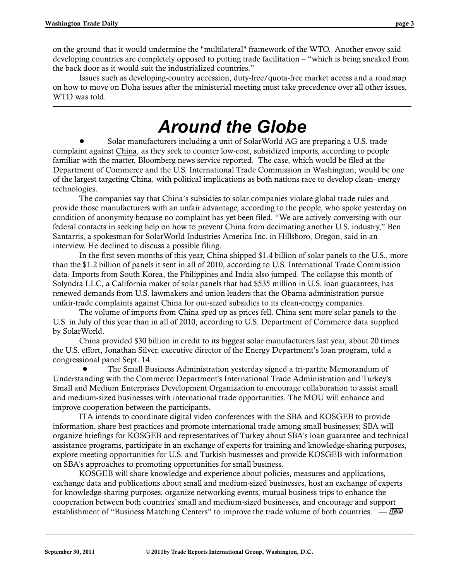on the ground that it would undermine the "multilateral" framework of the WTO. Another envoy said developing countries are completely opposed to putting trade facilitation – "which is being sneaked from the back door as it would suit the industrialized countries."

Issues such as developing-country accession, duty-free/quota-free market access and a roadmap on how to move on Doha issues after the ministerial meeting must take precedence over all other issues, WTD was told.

### *Around the Globe*

Solar manufacturers including a unit of SolarWorld AG are preparing a U.S. trade complaint against China, as they seek to counter low-cost, subsidized imports, according to people familiar with the matter, Bloomberg news service reported. The case, which would be filed at the Department of Commerce and the U.S. International Trade Commission in Washington, would be one of the largest targeting China, with political implications as both nations race to develop clean- energy technologies.

The companies say that China's subsidies to solar companies violate global trade rules and provide those manufacturers with an unfair advantage, according to the people, who spoke yesterday on condition of anonymity because no complaint has yet been filed. "We are actively conversing with our federal contacts in seeking help on how to prevent China from decimating another U.S. industry," Ben Santarris, a spokesman for SolarWorld Industries America Inc. in Hillsboro, Oregon, said in an interview. He declined to discuss a possible filing.

In the first seven months of this year, China shipped \$1.4 billion of solar panels to the U.S., more than the \$1.2 billion of panels it sent in all of 2010, according to U.S. International Trade Commission data. Imports from South Korea, the Philippines and India also jumped. The collapse this month of Solyndra LLC, a California maker of solar panels that had \$535 million in U.S. loan guarantees, has renewed demands from U.S. lawmakers and union leaders that the Obama administration pursue unfair-trade complaints against China for out-sized subsidies to its clean-energy companies.

The volume of imports from China sped up as prices fell. China sent more solar panels to the U.S. in July of this year than in all of 2010, according to U.S. Department of Commerce data supplied by SolarWorld.

China provided \$30 billion in credit to its biggest solar manufacturers last year, about 20 times the U.S. effort, Jonathan Silver, executive director of the Energy Department's loan program, told a congressional panel Sept. 14.

 ! The Small Business Administration yesterday signed a tri-partite Memorandum of Understanding with the Commerce Department's International Trade Administration and Turkey's Small and Medium Enterprises Development Organization to encourage collaboration to assist small and medium-sized businesses with international trade opportunities. The MOU will enhance and improve cooperation between the participants.

ITA intends to coordinate digital video conferences with the SBA and KOSGEB to provide information, share best practices and promote international trade among small businesses; SBA will organize briefings for KOSGEB and representatives of Turkey about SBA's loan guarantee and technical assistance programs, participate in an exchange of experts for training and knowledge-sharing purposes, explore meeting opportunities for U.S. and Turkish businesses and provide KOSGEB with information on SBA's approaches to promoting opportunities for small business.

KOSGEB will share knowledge and experience about policies, measures and applications, exchange data and publications about small and medium-sized businesses, host an exchange of experts for knowledge-sharing purposes, organize networking events, mutual business trips to enhance the cooperation between both countries' small and medium-sized businesses, and encourage and support establishment of "Business Matching Centers" to improve the trade volume of both countries.  $\overline{\phantom{a}}$